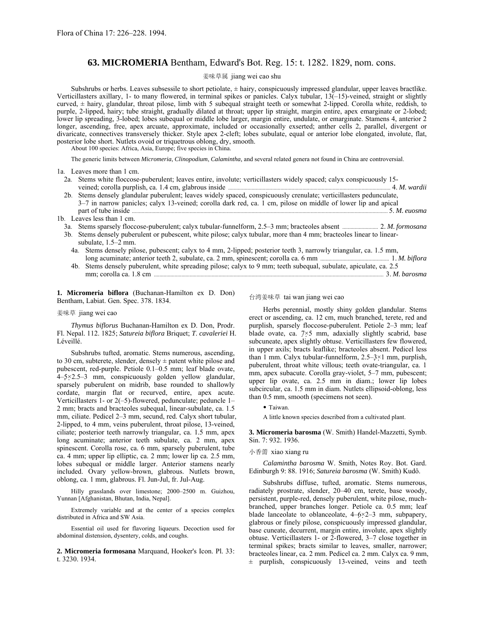# **63. MICROMERIA** Bentham, Edward's Bot. Reg. 15: t. 1282. 1829, nom. cons.

## 姜味草属 jiang wei cao shu

Subshrubs or herbs. Leaves subsessile to short petiolate, ± hairy, conspicuously impressed glandular, upper leaves bractlike. Verticillasters axillary, 1- to many flowered, in terminal spikes or panicles. Calyx tubular, 13(-15)-veined, straight or slightly curved,  $\pm$  hairy, glandular, throat pilose, limb with 5 subequal straight teeth or somewhat 2-lipped. Corolla white, reddish, to purple, 2-lipped, hairy; tube straight, gradually dilated at throat; upper lip straight, margin entire, apex emarginate or 2-lobed; lower lip spreading, 3-lobed; lobes subequal or middle lobe larger, margin entire, undulate, or emarginate. Stamens 4, anterior 2 longer, ascending, free, apex arcuate, approximate, included or occasionally exserted; anther cells 2, parallel, divergent or divaricate, connectives transversely thicker. Style apex 2-cleft; lobes subulate, equal or anterior lobe elongated, involute, flat, posterior lobe short. Nutlets ovoid or triquetrous oblong, dry, smooth.

About 100 species: Africa, Asia, Europe; five species in China.

The generic limits between *Micromeria*, *Clinopodium*, *Calamintha,* and several related genera not found in China are controversial.

1a. Leaves more than 1 cm.

- 2a. Stems white floccose-puberulent; leaves entire, involute; verticillasters widely spaced; calyx conspicuously 15 veined; corolla purplish, ca. 1.4 cm, glabrous inside ...................................................................................................................... 4. *M. wardii*
- 2b. Stems densely glandular puberulent; leaves widely spaced, conspicuously crenulate; verticillasters pedunculate,  $3-7$  in narrow panicles; calyx 13-veined; corolla dark red, ca. 1 cm, pilose on middle of lower lip and apical part of tube inside .......................................................................................................................................................................................... 5. *M. euosma*
- 1b. Leaves less than 1 cm.
	- 3a. Stems sparsely floccose-puberulent; calyx tubular-funnelform, 2.5ñ3 mm; bracteoles absent .......................... 2. *M. formosana*
	- 3b. Stems densely puberulent or pubescent, white pilose; calyx tubular, more than 4 mm; bracteoles linear to linearsubulate,  $1.5-2$  mm.
		- 4a. Stems densely pilose, pubescent; calyx to 4 mm, 2-lipped; posterior teeth 3, narrowly triangular, ca. 1.5 mm, long acuminate; anterior teeth 2, subulate, ca. 2 mm, spinescent; corolla ca. 6 mm .................................................. 1. *M. biflora*
		- 4b. Stems densely puberulent, white spreading pilose; calyx to 9 mm; teeth subequal, subulate, apiculate, ca. 2.5 mm; corolla ca. 1.8 cm ....................................................................................................................................................................... 3. *M. barosma*

**1. Micromeria biflora** (Buchanan-Hamilton ex D. Don) Bentham, Labiat. Gen. Spec. 378. 1834.

### 姜味草 jiang wei cao

*Thymus biflorus* Buchanan-Hamilton ex D. Don, Prodr. Fl. Nepal. 112. 1825; *Satureia biflora* Briquet; *T*. *cavaleriei* H. Léveillé.

Subshrubs tufted, aromatic. Stems numerous, ascending, to 30 cm, subterete, slender, densely  $\pm$  patent white pilose and pubescent, red-purple. Petiole 0.1–0.5 mm; leaf blade ovate,  $4-5\times2.5-3$  mm, conspicuously golden yellow glandular, sparsely puberulent on midrib, base rounded to shallowly cordate, margin flat or recurved, entire, apex acute. Verticillasters 1- or  $2(-5)$ -flowered, pedunculate; peduncle 1– 2 mm; bracts and bracteoles subequal, linear-subulate, ca. 1.5 mm, ciliate. Pedicel 2-3 mm, secund, red. Calyx short tubular, 2-lipped, to 4 mm, veins puberulent, throat pilose, 13-veined, ciliate; posterior teeth narrowly triangular, ca. 1.5 mm, apex long acuminate; anterior teeth subulate, ca. 2 mm, apex spinescent. Corolla rose, ca. 6 mm, sparsely puberulent, tube ca. 4 mm; upper lip elliptic, ca. 2 mm; lower lip ca. 2.5 mm, lobes subequal or middle larger. Anterior stamens nearly included. Ovary yellow-brown, glabrous. Nutlets brown, oblong, ca. 1 mm, glabrous. Fl. Jun-Jul, fr. Jul-Aug.

Hilly grasslands over limestone; 2000-2500 m. Guizhou, Yunnan [Afghanistan, Bhutan, India, Nepal].

Extremely variable and at the center of a species complex distributed in Africa and SW Asia.

Essential oil used for flavoring liqueurs. Decoction used for abdominal distension, dysentery, colds, and coughs.

**2. Micromeria formosana** Marquand, Hooker's Icon. Pl. 33: t. 3230. 1934.

# 台湾姜味草 tai wan jiang wei cao

Herbs perennial, mostly shiny golden glandular. Stems erect or ascending, ca. 12 cm, much branched, terete, red and purplish, sparsely floccose-puberulent. Petiole 2-3 mm; leaf blade ovate, ca. 7×5 mm, adaxially slightly scabrid, base subcuneate, apex slightly obtuse. Verticillasters few flowered, in upper axils; bracts leaflike; bracteoles absent. Pedicel less than 1 mm. Calyx tubular-funnelform,  $2.5-3\times1$  mm, purplish, puberulent, throat white villous; teeth ovate-triangular, ca. 1 mm, apex subacute. Corolla gray-violet, 5-7 mm, pubescent; upper lip ovate, ca. 2.5 mm in diam.; lower lip lobes subcircular, ca. 1.5 mm in diam. Nutlets ellipsoid-oblong, less than 0.5 mm, smooth (specimens not seen).

• Taiwan.

A little known species described from a cultivated plant.

**3. Micromeria barosma** (W. Smith) Handel-Mazzetti, Symb. Sin. 7: 932. 1936.

#### 小香薷 xiao xiang ru

*Calamintha barosma* W. Smith, Notes Roy. Bot. Gard. Edinburgh 9: 88. 1916; *Satureia barosma* (W. Smith) Kudô.

Subshrubs diffuse, tufted, aromatic. Stems numerous, radiately prostrate, slender, 20-40 cm, terete, base woody, persistent, purple-red, densely puberulent, white pilose, muchbranched, upper branches longer. Petiole ca. 0.5 mm; leaf blade lanceolate to oblanceolate,  $4-6\times2-3$  mm, subpapery, glabrous or finely pilose, conspicuously impressed glandular, base cuneate, decurrent, margin entire, involute, apex slightly obtuse. Verticillasters 1- or 2-flowered, 3-7 close together in terminal spikes; bracts similar to leaves, smaller, narrower; bracteoles linear, ca. 2 mm. Pedicel ca. 2 mm. Calyx ca. 9 mm, ± purplish, conspicuously 13-veined, veins and teeth